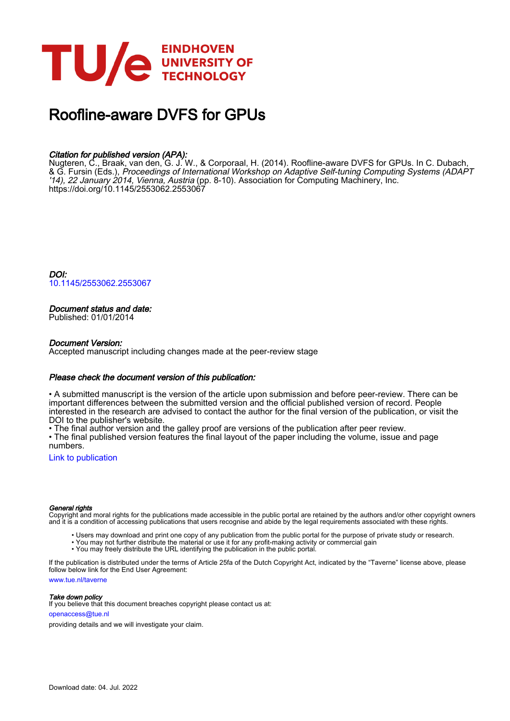

# Roofline-aware DVFS for GPUs

# Citation for published version (APA):

Nugteren, C., Braak, van den, G. J. W., & Corporaal, H. (2014). Roofline-aware DVFS for GPUs. In C. Dubach, & G. Fursin (Eds.), Proceedings of International Workshop on Adaptive Self-tuning Computing Systems (ADAPT '14), 22 January 2014, Vienna, Austria (pp. 8-10). Association for Computing Machinery, Inc. <https://doi.org/10.1145/2553062.2553067>

DOI: [10.1145/2553062.2553067](https://doi.org/10.1145/2553062.2553067)

# Document status and date:

Published: 01/01/2014

## Document Version:

Accepted manuscript including changes made at the peer-review stage

## Please check the document version of this publication:

• A submitted manuscript is the version of the article upon submission and before peer-review. There can be important differences between the submitted version and the official published version of record. People interested in the research are advised to contact the author for the final version of the publication, or visit the DOI to the publisher's website.

• The final author version and the galley proof are versions of the publication after peer review.

• The final published version features the final layout of the paper including the volume, issue and page numbers.

[Link to publication](https://research.tue.nl/en/publications/a35b6f98-3d8e-458f-a273-209df3e1fe8e)

#### General rights

Copyright and moral rights for the publications made accessible in the public portal are retained by the authors and/or other copyright owners and it is a condition of accessing publications that users recognise and abide by the legal requirements associated with these rights.

- Users may download and print one copy of any publication from the public portal for the purpose of private study or research.
- You may not further distribute the material or use it for any profit-making activity or commercial gain
- You may freely distribute the URL identifying the publication in the public portal.

If the publication is distributed under the terms of Article 25fa of the Dutch Copyright Act, indicated by the "Taverne" license above, please follow below link for the End User Agreement:

www.tue.nl/taverne

**Take down policy**<br>If you believe that this document breaches copyright please contact us at:

openaccess@tue.nl

providing details and we will investigate your claim.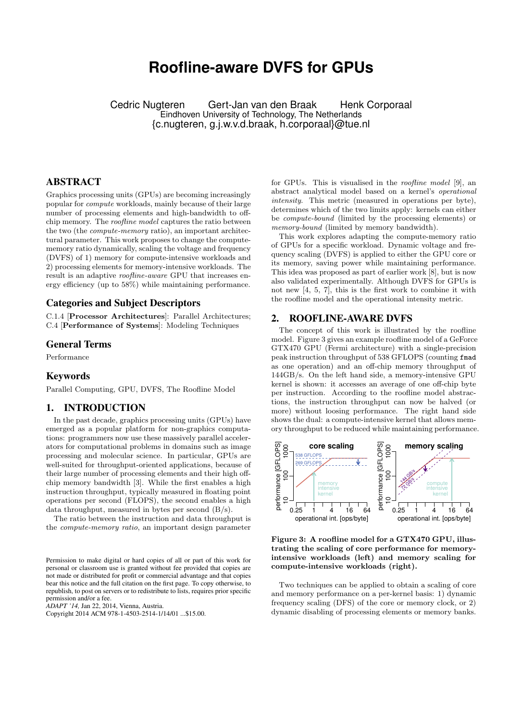# **Roofline-aware DVFS for GPUs**

Cedric Nugteren Gert-Jan van den Braak Henk Corporaal Eindhoven University of Technology, The Netherlands {c.nugteren, g.j.w.v.d.braak, h.corporaal}@tue.nl

# ABSTRACT

Graphics processing units (GPUs) are becoming increasingly popular for compute workloads, mainly because of their large number of processing elements and high-bandwidth to offchip memory. The roofline model captures the ratio between the two (the compute-memory ratio), an important architectural parameter. This work proposes to change the computememory ratio dynamically, scaling the voltage and frequency (DVFS) of 1) memory for compute-intensive workloads and 2) processing elements for memory-intensive workloads. The result is an adaptive *roofline-aware* GPU that increases energy efficiency (up to 58%) while maintaining performance.

# Categories and Subject Descriptors

C.1.4 [Processor Architectures]: Parallel Architectures; C.4 [Performance of Systems]: Modeling Techniques

# General Terms

Performance

#### Keywords

Parallel Computing, GPU, DVFS, The Roofline Model

# 1. INTRODUCTION

In the past decade, graphics processing units (GPUs) have emerged as a popular platform for non-graphics computations: programmers now use these massively parallel accelerators for computational problems in domains such as image processing and molecular science. In particular, GPUs are well-suited for throughput-oriented applications, because of their large number of processing elements and their high offchip memory bandwidth [3]. While the first enables a high instruction throughput, typically measured in floating point operations per second (FLOPS), the second enables a high data throughput, measured in bytes per second (B/s).

The ratio between the instruction and data throughput is the compute-memory ratio, an important design parameter

*ADAPT '14,* Jan 22, 2014, Vienna, Austria.

Copyright 2014 ACM 978-1-4503-2514-1/14/01 ...\$15.00.

for GPUs. This is visualised in the *roofline model* [9], an abstract analytical model based on a kernel's operational intensity. This metric (measured in operations per byte), determines which of the two limits apply: kernels can either be compute-bound (limited by the processing elements) or memory-bound (limited by memory bandwidth).

This work explores adapting the compute-memory ratio of GPUs for a specific workload. Dynamic voltage and frequency scaling (DVFS) is applied to either the GPU core or its memory, saving power while maintaining performance. This idea was proposed as part of earlier work [8], but is now also validated experimentally. Although DVFS for GPUs is not new [4, 5, 7], this is the first work to combine it with the roofline model and the operational intensity metric.

# 2. ROOFLINE-AWARE DVFS

The concept of this work is illustrated by the roofline model. Figure 3 gives an example roofline model of a GeForce GTX470 GPU (Fermi architecture) with a single-precision peak instruction throughput of 538 GFLOPS (counting fmad as one operation) and an off-chip memory throughput of 144GB/s. On the left hand side, a memory-intensive GPU kernel is shown: it accesses an average of one off-chip byte per instruction. According to the roofline model abstractions, the instruction throughput can now be halved (or more) without loosing performance. The right hand side shows the dual: a compute-intensive kernel that allows memory throughput to be reduced while maintaining performance.



Figure 3: A roofline model for a GTX470 GPU, illustrating the scaling of core performance for memoryintensive workloads (left) and memory scaling for compute-intensive workloads (right).

Two techniques can be applied to obtain a scaling of core and memory performance on a per-kernel basis: 1) dynamic frequency scaling (DFS) of the core or memory clock, or 2) dynamic disabling of processing elements or memory banks.

Permission to make digital or hard copies of all or part of this work for personal or classroom use is granted without fee provided that copies are not made or distributed for profit or commercial advantage and that copies bear this notice and the full citation on the first page. To copy otherwise, to republish, to post on servers or to redistribute to lists, requires prior specific permission and/or a fee.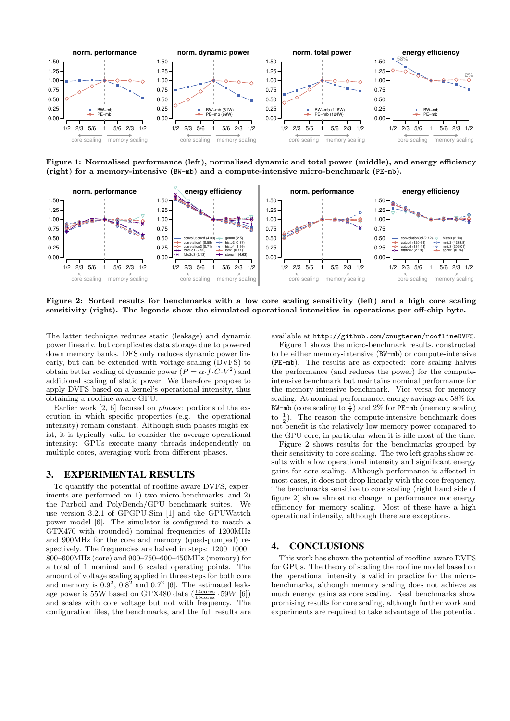

Figure 1: Normalised performance (left), normalised dynamic and total power (middle), and energy efficiency (right) for a memory-intensive (BW-mb) and a compute-intensive micro-benchmark (PE-mb).



Figure 2: Sorted results for benchmarks with a low core scaling sensitivity (left) and a high core scaling sensitivity (right). The legends show the simulated operational intensities in operations per off-chip byte.

The latter technique reduces static (leakage) and dynamic power linearly, but complicates data storage due to powered down memory banks. DFS only reduces dynamic power linearly, but can be extended with voltage scaling (DVFS) to obtain better scaling of dynamic power  $(P = \alpha \cdot f \cdot C \cdot V^2)$  and additional scaling of static power. We therefore propose to apply DVFS based on a kernel's operational intensity, thus obtaining a roofline-aware GPU.

Earlier work [2, 6] focused on phases: portions of the execution in which specific properties (e.g. the operational intensity) remain constant. Although such phases might exist, it is typically valid to consider the average operational intensity: GPUs execute many threads independently on multiple cores, averaging work from different phases.

# 3. EXPERIMENTAL RESULTS

To quantify the potential of roofline-aware DVFS, experiments are performed on 1) two micro-benchmarks, and 2) the Parboil and PolyBench/GPU benchmark suites. We use version 3.2.1 of GPGPU-Sim [1] and the GPUWattch power model [6]. The simulator is configured to match a GTX470 with (rounded) nominal frequencies of 1200MHz and 900MHz for the core and memory (quad-pumped) respectively. The frequencies are halved in steps: 1200–1000– 800–600MHz (core) and 900–750–600–450MHz (memory) for a total of 1 nominal and 6 scaled operating points. The amount of voltage scaling applied in three steps for both core and memory is  $0.9^2$ ,  $0.8^2$  and  $0.7^2$  [6]. The estimated leakage power is 55W based on GTX480 data  $(\frac{14 \text{cores}}{15 \text{cores}} \cdot 59W$  [6]) and scales with core voltage but not with frequency. The configuration files, the benchmarks, and the full results are

available at http://github.com/cnugteren/rooflineDVFS.

Figure 1 shows the micro-benchmark results, constructed to be either memory-intensive (BW-mb) or compute-intensive (PE-mb). The results are as expected: core scaling halves the performance (and reduces the power) for the computeintensive benchmark but maintains nominal performance for the memory-intensive benchmark. Vice versa for memory scaling. At nominal performance, energy savings are 58% for BW-mb (core scaling to  $\frac{1}{2}$ ) and 2% for PE-mb (memory scaling to  $\frac{1}{2}$ ). The reason the compute-intensive benchmark does not benefit is the relatively low memory power compared to the GPU core, in particular when it is idle most of the time.

Figure 2 shows results for the benchmarks grouped by their sensitivity to core scaling. The two left graphs show results with a low operational intensity and significant energy gains for core scaling. Although performance is affected in most cases, it does not drop linearly with the core frequency. The benchmarks sensitive to core scaling (right hand side of figure 2) show almost no change in performance nor energy efficiency for memory scaling. Most of these have a high operational intensity, although there are exceptions.

# 4. CONCLUSIONS

This work has shown the potential of roofline-aware DVFS for GPUs. The theory of scaling the roofline model based on the operational intensity is valid in practice for the microbenchmarks, although memory scaling does not achieve as much energy gains as core scaling. Real benchmarks show promising results for core scaling, although further work and experiments are required to take advantage of the potential.